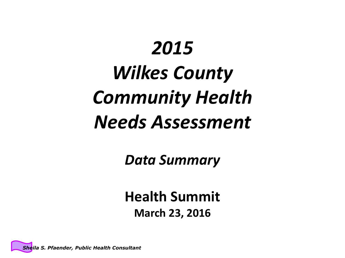# *2015 Wilkes County Community Health Needs Assessment*

*Data Summary*

**Health Summit March 23, 2016**

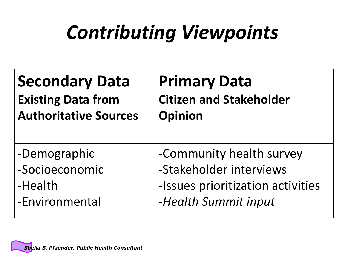# *Contributing Viewpoints*

| <b>Secondary Data</b>        | <b>Primary Data</b>               |
|------------------------------|-----------------------------------|
| <b>Existing Data from</b>    | <b>Citizen and Stakeholder</b>    |
| <b>Authoritative Sources</b> | <b>Opinion</b>                    |
| -Demographic                 | -Community health survey          |
| -Socioeconomic               | -Stakeholder interviews           |
| -Health                      | -Issues prioritization activities |
| -Environmental               | -Health Summit input              |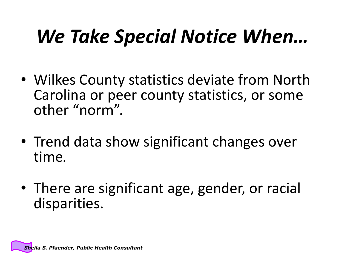# *We Take Special Notice When…*

- Wilkes County statistics deviate from North Carolina or peer county statistics, or some other "norm".
- Trend data show significant changes over time*.*
- There are significant age, gender, or racial disparities.

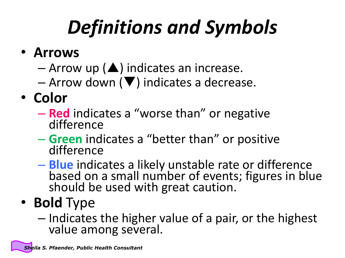# *Definitions and Symbols*

- **Arrows**
	- $-$  Arrow up ( $\blacktriangle$ ) indicates an increase.
	- $-$  Arrow down ( $\blacktriangledown$ ) indicates a decrease.
- **Color**
	- **Red** indicates a "worse than" or negative difference
	- **Green** indicates a "better than" or positive difference
	- **Blue** indicates a likely unstable rate or difference based on a small number of events; figures in blue should be used with great caution.
- **Bold** Type
	- Indicates the higher value of a pair, or the highest value among several.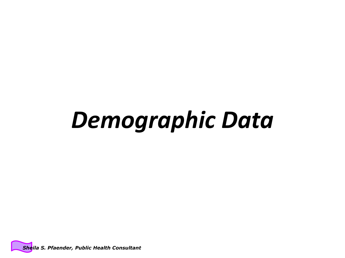# *Demographic Data*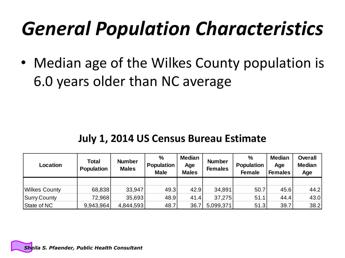# *General Population Characteristics*

• Median age of the Wilkes County population is 6.0 years older than NC average

#### **July 1, 2014 US Census Bureau Estimate**

| Location                                            | <b>Total</b><br><b>Population</b> | <b>Number</b><br><b>Males</b> | $\%$<br><b>Population</b><br><b>Male</b> | <b>Median</b><br>Age<br><b>Males</b> | <b>Number</b><br><b>Females</b> | $\frac{0}{0}$<br><b>Population</b><br><b>Female</b> | <b>Median</b><br>Age<br><b>Females</b> | <b>Overall</b><br><b>Median</b><br>Age |
|-----------------------------------------------------|-----------------------------------|-------------------------------|------------------------------------------|--------------------------------------|---------------------------------|-----------------------------------------------------|----------------------------------------|----------------------------------------|
|                                                     |                                   |                               |                                          |                                      |                                 |                                                     |                                        |                                        |
| <b>Wilkes County</b>                                | 68,838                            | 33,947                        | 49.3                                     | 42.9                                 | 34,891                          | 50.7                                                | 45.6                                   | 44.2                                   |
| Surry County                                        | 72,968                            | 35,693                        | 48.9                                     | 41.4                                 | 37,275                          | 51.1                                                | 44.4                                   | 43.0                                   |
| State of NC                                         | 9,943,964                         | 4,844,593                     | 48.7                                     | 36.7                                 | 5,099,371                       | 51.3                                                | 39.7                                   | 38.2                                   |
|                                                     |                                   |                               |                                          |                                      |                                 |                                                     |                                        |                                        |
| <b>Sheila S. Pfaender, Public Health Consultant</b> |                                   |                               |                                          |                                      |                                 |                                                     |                                        |                                        |

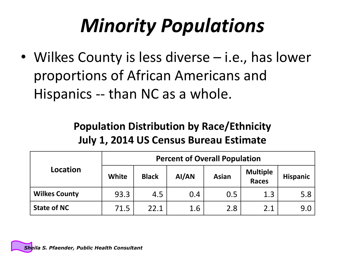# *Minority Populations*

• Wilkes County is less diverse – i.e., has lower proportions of African Americans and Hispanics -- than NC as a whole.

#### **Population Distribution by Race/Ethnicity July 1, 2014 US Census Bureau Estimate**

|                      | <b>Percent of Overall Population</b> |              |       |              |                                 |                 |  |  |
|----------------------|--------------------------------------|--------------|-------|--------------|---------------------------------|-----------------|--|--|
| Location             | <b>White</b>                         | <b>Black</b> | AI/AN | <b>Asian</b> | <b>Multiple</b><br><b>Races</b> | <b>Hispanic</b> |  |  |
| <b>Wilkes County</b> | 93.3                                 | 4.5          | 0.4   | 0.5          | 1.3                             | 5.8             |  |  |
| <b>State of NC</b>   | 71.5                                 | 22.1         | 1.6   | 2.8          | 2.1                             | 9.0             |  |  |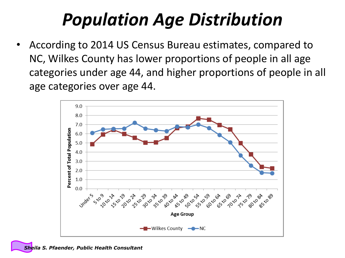## *Population Age Distribution*

• According to 2014 US Census Bureau estimates, compared to NC, Wilkes County has lower proportions of people in all age categories under age 44, and higher proportions of people in all age categories over age 44.

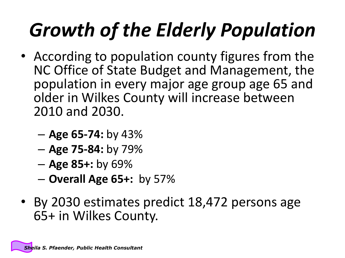# *Growth of the Elderly Population*

- According to population county figures from the NC Office of State Budget and Management, the population in every major age group age 65 and older in Wilkes County will increase between 2010 and 2030.
	- **Age 65-74:** by 43%
	- **Age 75-84:** by 79%
	- **Age 85+:** by 69%
	- **Overall Age 65+:** by 57%
- By 2030 estimates predict 18,472 persons age 65+ in Wilkes County.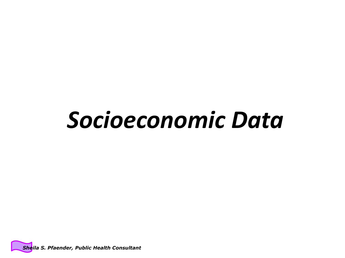# *Socioeconomic Data*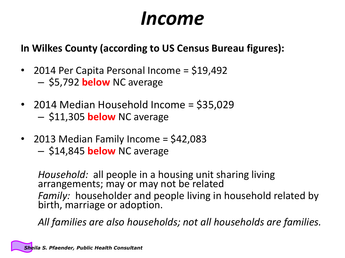### *Income*

#### **In Wilkes County (according to US Census Bureau figures):**

- 2014 Per Capita Personal Income = \$19,492 – \$5,792 **below** NC average
- 2014 Median Household Income = \$35,029 – \$11,305 **below** NC average
- 2013 Median Family Income = \$42,083
	- \$14,845 **below** NC average

*Household:* all people in a housing unit sharing living arrangements; may or may not be related *Family:* householder and people living in household related by birth, marriage or adoption.

*All families are also households; not all households are families.*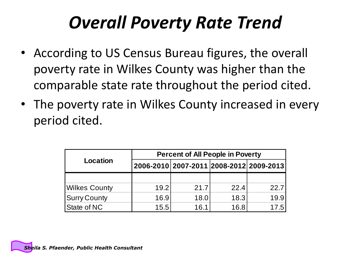### *Overall Poverty Rate Trend*

- According to US Census Bureau figures, the overall poverty rate in Wilkes County was higher than the comparable state rate throughout the period cited.
- The poverty rate in Wilkes County increased in every period cited.

|                      | <b>Percent of All People in Poverty</b> |                                         |      |      |  |  |  |  |  |
|----------------------|-----------------------------------------|-----------------------------------------|------|------|--|--|--|--|--|
| Location             |                                         | 2006-2010 2007-2011 2008-2012 2009-2013 |      |      |  |  |  |  |  |
|                      |                                         |                                         |      |      |  |  |  |  |  |
| <b>Wilkes County</b> | 19.2                                    | 21.7                                    | 22.4 | 22.7 |  |  |  |  |  |
| <b>Surry County</b>  | 16.9                                    | 18.0                                    | 18.3 | 19.9 |  |  |  |  |  |
| State of NC          | 15.5                                    | 16.1                                    | 16.8 | 17.5 |  |  |  |  |  |

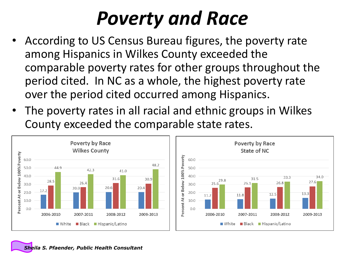# *Poverty and Race*

- According to US Census Bureau figures, the poverty rate among Hispanics in Wilkes County exceeded the comparable poverty rates for other groups throughout the period cited. In NC as a whole, the highest poverty rate over the period cited occurred among Hispanics.
- The poverty rates in all racial and ethnic groups in Wilkes County exceeded the comparable state rates.

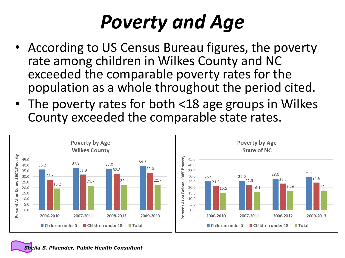# *Poverty and Age*

- According to US Census Bureau figures, the poverty rate among children in Wilkes County and NC exceeded the comparable poverty rates for the population as a whole throughout the period cited.
- The poverty rates for both <18 age groups in Wilkes County exceeded the comparable state rates.

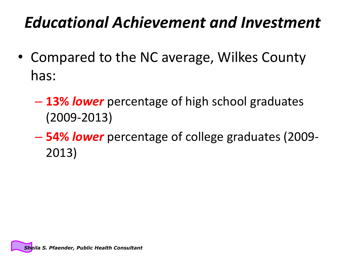#### *Educational Achievement and Investment*

- Compared to the NC average, Wilkes County has:
	- **13%** *lower* percentage of high school graduates (2009-2013)
	- **54%** *lower* percentage of college graduates (2009- 2013)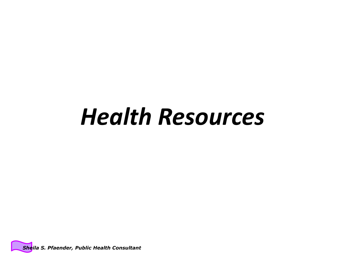# *Health Resources*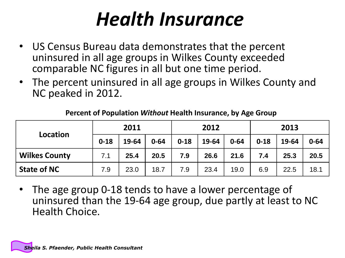## *Health Insurance*

- US Census Bureau data demonstrates that the percent uninsured in all age groups in Wilkes County exceeded comparable NC figures in all but one time period.
- The percent uninsured in all age groups in Wilkes County and NC peaked in 2012.

|                      | 2011     |       |          | 2012     |       |          | 2013     |       |          |
|----------------------|----------|-------|----------|----------|-------|----------|----------|-------|----------|
| Location             | $0 - 18$ | 19-64 | $0 - 64$ | $0 - 18$ | 19-64 | $0 - 64$ | $0 - 18$ | 19-64 | $0 - 64$ |
| <b>Wilkes County</b> | 7.1      | 25.4  | 20.5     | 7.9      | 26.6  | 21.6     | 7.4      | 25.3  | 20.5     |
| <b>State of NC</b>   | 7.9      | 23.0  | 18.7     | 7.9      | 23.4  | 19.0     | 6.9      | 22.5  | 18.1     |

#### **Percent of Population** *Without* **Health Insurance, by Age Group**

• The age group 0-18 tends to have a lower percentage of uninsured than the 19-64 age group, due partly at least to NC Health Choice.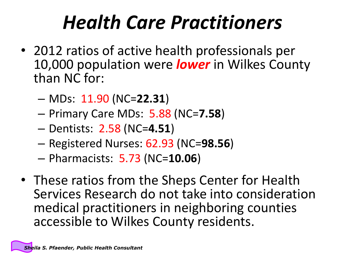# *Health Care Practitioners*

- 2012 ratios of active health professionals per 10,000 population were *lower* in Wilkes County than NC for:
	- MDs: 11.90 (NC=**22.31**)
	- Primary Care MDs: 5.88 (NC=**7.58**)
	- Dentists: 2.58 (NC=**4.51**)
	- Registered Nurses: 62.93 (NC=**98.56**)
	- Pharmacists: 5.73 (NC=**10.06**)
- These ratios from the Sheps Center for Health Services Research do not take into consideration medical practitioners in neighboring counties accessible to Wilkes County residents.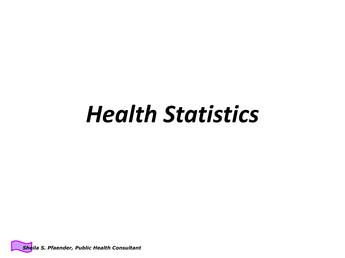# *Health Statistics*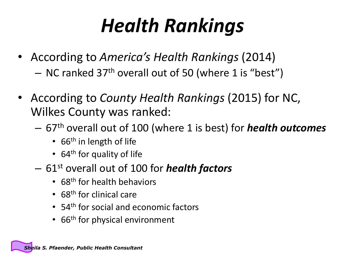# *Health Rankings*

- According to *America's Health Rankings* (2014)  $-$  NC ranked 37<sup>th</sup> overall out of 50 (where 1 is "best")
- According to *County Health Rankings* (2015) for NC, Wilkes County was ranked:
	- 67th overall out of 100 (where 1 is best) for *health outcomes*
		- 66<sup>th</sup> in length of life
		- 64<sup>th</sup> for quality of life
	- 61st overall out of 100 for *health factors*
		- 68<sup>th</sup> for health behaviors
		- 68<sup>th</sup> for clinical care
		- 54<sup>th</sup> for social and economic factors
		- 66<sup>th</sup> for physical environment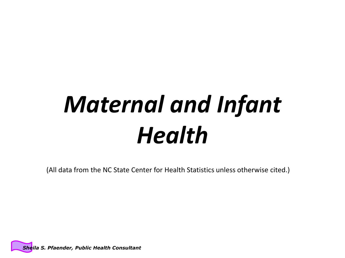# *Maternal and Infant Health*

(All data from the NC State Center for Health Statistics unless otherwise cited.)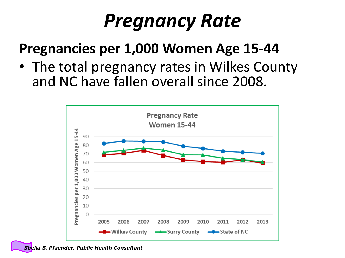## *Pregnancy Rate*

#### **Pregnancies per 1,000 Women Age 15-44**

• The total pregnancy rates in Wilkes County and NC have fallen overall since 2008.

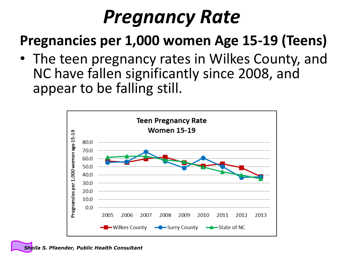## *Pregnancy Rate*

#### **Pregnancies per 1,000 women Age 15-19 (Teens)**

• The teen pregnancy rates in Wilkes County, and NC have fallen significantly since 2008, and appear to be falling still.

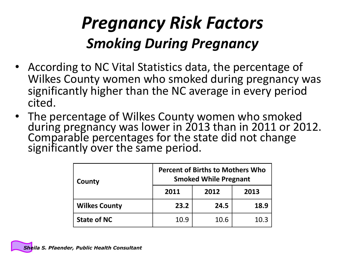#### *Pregnancy Risk Factors Smoking During Pregnancy*

- According to NC Vital Statistics data, the percentage of Wilkes County women who smoked during pregnancy was significantly higher than the NC average in every period cited.
- The percentage of Wilkes County women who smoked during pregnancy was lower in 2013 than in 2011 or 2012. Comparable percentages for the state did not change significantly over the same period.

| County               | <b>Percent of Births to Mothers Who</b><br><b>Smoked While Pregnant</b> |      |      |  |  |  |
|----------------------|-------------------------------------------------------------------------|------|------|--|--|--|
|                      | 2011                                                                    | 2012 | 2013 |  |  |  |
| <b>Wilkes County</b> | 23.2                                                                    | 24.5 | 18.9 |  |  |  |
| <b>State of NC</b>   | 10.9                                                                    | 10.6 | 10.3 |  |  |  |

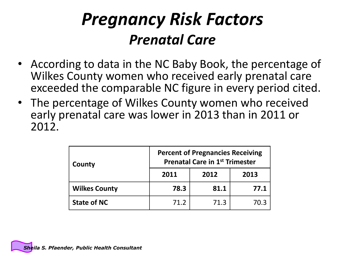#### *Pregnancy Risk Factors Prenatal Care*

- According to data in the NC Baby Book, the percentage of Wilkes County women who received early prenatal care exceeded the comparable NC figure in every period cited.
- The percentage of Wilkes County women who received early prenatal care was lower in 2013 than in 2011 or 2012.

| County               | <b>Percent of Pregnancies Receiving</b><br><b>Prenatal Care in 1st Trimester</b> |      |      |  |  |  |
|----------------------|----------------------------------------------------------------------------------|------|------|--|--|--|
|                      | 2011                                                                             | 2012 | 2013 |  |  |  |
| <b>Wilkes County</b> | 78.3                                                                             | 81.1 | 77.1 |  |  |  |
| <b>State of NC</b>   | 71.2                                                                             | 71.3 | 70.3 |  |  |  |

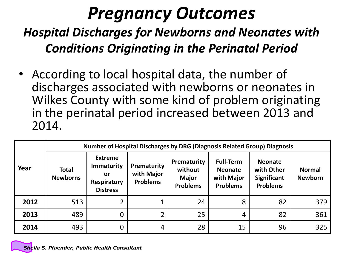#### *Pregnancy Outcomes*

#### *Hospital Discharges for Newborns and Neonates with Conditions Originating in the Perinatal Period*

• According to local hospital data, the number of discharges associated with newborns or neonates in Wilkes County with some kind of problem originating in the perinatal period increased between 2013 and 2014.

|      |                                 | <b>Number of Hospital Discharges by DRG (Diagnosis Related Group) Diagnosis</b>    |                                              |                                                           |                                                                     |                                                                       |                                 |  |  |  |  |  |
|------|---------------------------------|------------------------------------------------------------------------------------|----------------------------------------------|-----------------------------------------------------------|---------------------------------------------------------------------|-----------------------------------------------------------------------|---------------------------------|--|--|--|--|--|
| Year | <b>Total</b><br><b>Newborns</b> | <b>Extreme</b><br><b>Immaturity</b><br>or<br><b>Respiratory</b><br><b>Distress</b> | Prematurity<br>with Major<br><b>Problems</b> | Prematurity<br>without<br><b>Major</b><br><b>Problems</b> | <b>Full-Term</b><br><b>Neonate</b><br>with Major<br><b>Problems</b> | <b>Neonate</b><br>with Other<br><b>Significant</b><br><b>Problems</b> | <b>Normal</b><br><b>Newborn</b> |  |  |  |  |  |
| 2012 | 513                             | ∍                                                                                  |                                              | 24                                                        | 8                                                                   | 82                                                                    | 379                             |  |  |  |  |  |
| 2013 | 489                             | 0                                                                                  | າ                                            | 25                                                        | 4                                                                   | 82                                                                    | 361                             |  |  |  |  |  |
| 2014 | 493                             |                                                                                    | 4                                            | 28                                                        | 15                                                                  | 96                                                                    | 325                             |  |  |  |  |  |

*Sheila S. Pfaender, Public Health Consultant*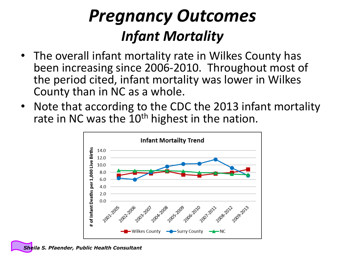#### *Pregnancy Outcomes Infant Mortality*

- The overall infant mortality rate in Wilkes County has been increasing since 2006-2010. Throughout most of the period cited, infant mortality was lower in Wilkes County than in NC as a whole.
- Note that according to the CDC the 2013 infant mortality rate in NC was the  $10<sup>th</sup>$  highest in the nation.



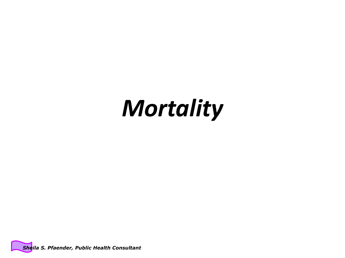# *Mortality*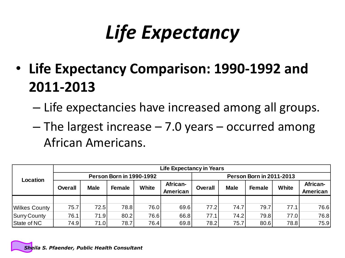# *Life Expectancy*

- **Life Expectancy Comparison: 1990-1992 and 2011-2013**
	- Life expectancies have increased among all groups.
	- The largest increase 7.0 years occurred among African Americans.

|                      |                | <b>Life Expectancy in Years</b> |                                 |       |                      |                |             |                                 |              |                      |  |
|----------------------|----------------|---------------------------------|---------------------------------|-------|----------------------|----------------|-------------|---------------------------------|--------------|----------------------|--|
| Location             |                |                                 | <b>Person Born in 1990-1992</b> |       |                      |                |             | <b>Person Born in 2011-2013</b> |              |                      |  |
|                      | <b>Overall</b> | <b>Male</b>                     | <b>Female</b>                   | White | African-<br>American | <b>Overall</b> | <b>Male</b> | <b>Female</b>                   | <b>White</b> | African-<br>American |  |
|                      |                |                                 |                                 |       |                      |                |             |                                 |              |                      |  |
|                      |                |                                 |                                 |       |                      |                |             |                                 |              |                      |  |
| <b>Wilkes County</b> | 75.7           | 72.5                            | 78.8                            | 76.0  | 69.6                 | 77.2           | 74.7        | 79.7                            | 77.1         | 76.6                 |  |
| Surry County         | 76.1           | 71.9                            | 80.2                            | 76.6  | 66.8                 | 77.1           | 74.2        | 79.8                            | 77.0         | 76.8                 |  |
| State of NC          | 74.9           | 71.0                            | 78.7                            | 76.4  | 69.8                 | 78.2           | 75.7        | 80.6                            | 78.8         | 75.9                 |  |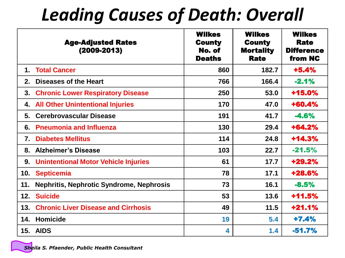## *Leading Causes of Death: Overall*

|               | <b>Age-Adjusted Rates</b><br>$(2009 - 2013)$    | <b>Wilkes</b><br><b>County</b><br>No. of<br><b>Deaths</b> | <b>Wilkes</b><br><b>County</b><br><b>Mortality</b><br><b>Rate</b> | <b>Wilkes</b><br><b>Rate</b><br><b>Difference</b><br>from NC |
|---------------|-------------------------------------------------|-----------------------------------------------------------|-------------------------------------------------------------------|--------------------------------------------------------------|
| $\mathbf 1$ . | <b>Total Cancer</b>                             | 860                                                       | 182.7                                                             | $+5.4%$                                                      |
| 2.            | Diseases of the Heart                           | 766                                                       | 166.4                                                             | $-2.1%$                                                      |
| 3.            | <b>Chronic Lower Respiratory Disease</b>        | 250                                                       | 53.0                                                              | +15.0%                                                       |
| 4.            | <b>All Other Unintentional Injuries</b>         | 170                                                       | 47.0                                                              | $+60.4%$                                                     |
| 5.            | <b>Cerebrovascular Disease</b>                  | 191                                                       | 41.7                                                              | $-4.6%$                                                      |
| 6.            | <b>Pneumonia and Influenza</b>                  | 130                                                       | 29.4                                                              | $+64.2%$                                                     |
| 7.            | <b>Diabetes Mellitus</b>                        | 114                                                       | 24.8                                                              | $+14.3%$                                                     |
| 8.            | <b>Alzheimer's Disease</b>                      | 103                                                       | 22.7                                                              | $-21.5%$                                                     |
| 9.            | <b>Unintentional Motor Vehicle Injuries</b>     | 61                                                        | 17.7                                                              | $+29.2%$                                                     |
| 10.           | <b>Septicemia</b>                               | 78                                                        | 17.1                                                              | +28.6%                                                       |
| 11.           | <b>Nephritis, Nephrotic Syndrome, Nephrosis</b> | 73                                                        | 16.1                                                              | $-8.5%$                                                      |
| 12.           | <b>Suicide</b>                                  | 53                                                        | 13.6                                                              | $+11.5%$                                                     |
| 13.           | <b>Chronic Liver Disease and Cirrhosis</b>      | 49                                                        | 11.5                                                              | $+21.1%$                                                     |
| 14.           | Homicide                                        | 19                                                        | 5.4                                                               | $+7.4%$                                                      |
|               | 15. AIDS                                        | 4                                                         | 1.4                                                               | $-51.7%$                                                     |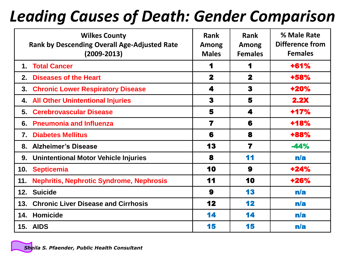#### *Leading Causes of Death: Gender Comparison*

| <b>Wilkes County</b><br><b>Rank by Descending Overall Age-Adjusted Rate</b><br>$(2009 - 2013)$ | <b>Rank</b><br>Among<br><b>Males</b> | <b>Rank</b><br>Among<br><b>Females</b> | % Male Rate<br><b>Difference from</b><br><b>Females</b> |
|------------------------------------------------------------------------------------------------|--------------------------------------|----------------------------------------|---------------------------------------------------------|
| 1. Total Cancer                                                                                | 1                                    | 1                                      | $+61%$                                                  |
| <b>Diseases of the Heart</b><br>2.                                                             | $\mathbf 2$                          | $\mathbf{2}$                           | +58%                                                    |
| 3.<br><b>Chronic Lower Respiratory Disease</b>                                                 | 4                                    | 3                                      | +20%                                                    |
| <b>All Other Unintentional Injuries</b><br>4.                                                  | 3                                    | 5                                      | 2.2X                                                    |
| <b>Cerebrovascular Disease</b><br>5.                                                           | 5                                    | 4                                      | $+17%$                                                  |
| <b>Pneumonia and Influenza</b><br>6.                                                           | 7                                    | 6                                      | +18%                                                    |
| <b>Diabetes Mellitus</b><br>7.                                                                 | 6                                    | 8                                      | +88%                                                    |
| <b>Alzheimer's Disease</b><br>8.                                                               | 13                                   | $\overline{\mathbf{z}}$                | $-44%$                                                  |
| <b>Unintentional Motor Vehicle Injuries</b><br>9.                                              | 8                                    | 11                                     | n/a                                                     |
| <b>Septicemia</b><br>10.                                                                       | 10                                   | 9                                      | $+24%$                                                  |
| <b>Nephritis, Nephrotic Syndrome, Nephrosis</b><br>11.                                         | 11                                   | 10                                     | +26%                                                    |
| 12.<br><b>Suicide</b>                                                                          | 9                                    | 13                                     | n/a                                                     |
| <b>Chronic Liver Disease and Cirrhosis</b><br>13.                                              | 12                                   | 12                                     | n/a                                                     |
| Homicide<br>14.                                                                                | 14                                   | 14                                     | n/a                                                     |
| 15. AIDS                                                                                       | 15                                   | 15                                     | n/a                                                     |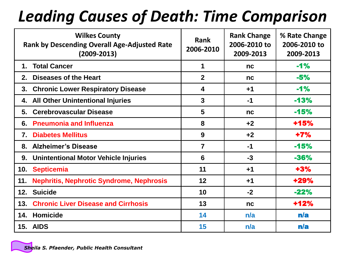#### *Leading Causes of Death: Time Comparison*

| <b>Wilkes County</b><br><b>Rank by Descending Overall Age-Adjusted Rate</b><br>$(2009 - 2013)$ | <b>Rank</b><br>2006-2010 | <b>Rank Change</b><br>2006-2010 to<br>2009-2013 | % Rate Change<br>2006-2010 to<br>2009-2013 |
|------------------------------------------------------------------------------------------------|--------------------------|-------------------------------------------------|--------------------------------------------|
| <b>Total Cancer</b><br>1.                                                                      | 1                        | nc                                              | $-1%$                                      |
| <b>Diseases of the Heart</b><br>2.                                                             | $\overline{2}$           | nc                                              | $-5%$                                      |
| <b>Chronic Lower Respiratory Disease</b><br>3.                                                 | $\overline{\mathbf{4}}$  | $+1$                                            | $-1%$                                      |
| <b>All Other Unintentional Injuries</b><br>4.                                                  | $\mathbf{3}$             | $-1$                                            | $-13%$                                     |
| <b>Cerebrovascular Disease</b><br>5.                                                           | $5\phantom{1}$           | nc                                              | $-15%$                                     |
| <b>Pneumonia and Influenza</b><br>6.                                                           | 8                        | $+2$                                            | +15%                                       |
| <b>Diabetes Mellitus</b><br>7.                                                                 | 9                        | $+2$                                            | $+7%$                                      |
| <b>Alzheimer's Disease</b><br>8.                                                               | $\overline{7}$           | $-1$                                            | $-15%$                                     |
| Unintentional Motor Vehicle Injuries<br>9.                                                     | $6\phantom{1}6$          | $-3$                                            | -36%                                       |
| <b>Septicemia</b><br>10.                                                                       | 11                       | $+1$                                            | $+3%$                                      |
| <b>Nephritis, Nephrotic Syndrome, Nephrosis</b><br>11.                                         | 12                       | $+1$                                            | +29%                                       |
| 12.<br><b>Suicide</b>                                                                          | 10                       | $-2$                                            | $-22%$                                     |
| <b>Chronic Liver Disease and Cirrhosis</b><br>13.                                              | 13                       | nc                                              | +12%                                       |
| Homicide<br>14.                                                                                | 14                       | n/a                                             | n/a                                        |
| 15. AIDS                                                                                       | 15                       | n/a                                             | n/a                                        |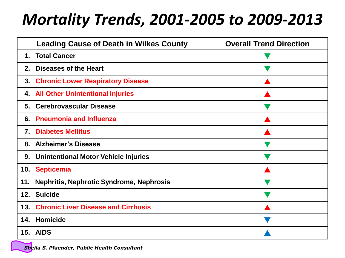#### *Mortality Trends, 2001-2005 to 2009-2013*

|               | <b>Leading Cause of Death in Wilkes County</b>  | <b>Overall Trend Direction</b> |  |  |
|---------------|-------------------------------------------------|--------------------------------|--|--|
| $\mathbf 1$ . | <b>Total Cancer</b>                             |                                |  |  |
| 2.            | <b>Diseases of the Heart</b>                    |                                |  |  |
| 3.            | <b>Chronic Lower Respiratory Disease</b>        |                                |  |  |
| 4.            | <b>All Other Unintentional Injuries</b>         |                                |  |  |
| 5.            | <b>Cerebrovascular Disease</b>                  |                                |  |  |
| 6.            | <b>Pneumonia and Influenza</b>                  |                                |  |  |
| 7.            | <b>Diabetes Mellitus</b>                        |                                |  |  |
| 8.            | <b>Alzheimer's Disease</b>                      |                                |  |  |
| 9.            | <b>Unintentional Motor Vehicle Injuries</b>     |                                |  |  |
| 10.           | <b>Septicemia</b>                               |                                |  |  |
| 11.           | <b>Nephritis, Nephrotic Syndrome, Nephrosis</b> |                                |  |  |
| 12.           | <b>Suicide</b>                                  |                                |  |  |
| 13.           | <b>Chronic Liver Disease and Cirrhosis</b>      |                                |  |  |
| 14.           | Homicide                                        |                                |  |  |
|               | 15. AIDS                                        |                                |  |  |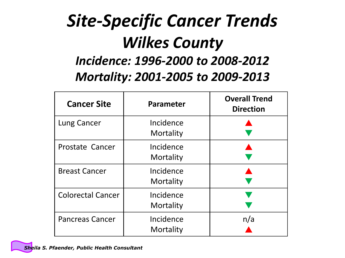#### *Site-Specific Cancer Trends Wilkes County Incidence: 1996-2000 to 2008-2012 Mortality: 2001-2005 to 2009-2013*

| <b>Cancer Site</b>       | <b>Parameter</b>       | <b>Overall Trend</b><br><b>Direction</b> |
|--------------------------|------------------------|------------------------------------------|
| Lung Cancer              | Incidence<br>Mortality |                                          |
| Prostate Cancer          | Incidence<br>Mortality |                                          |
| <b>Breast Cancer</b>     | Incidence<br>Mortality |                                          |
| <b>Colorectal Cancer</b> | Incidence<br>Mortality |                                          |
| <b>Pancreas Cancer</b>   | Incidence<br>Mortality | n/a                                      |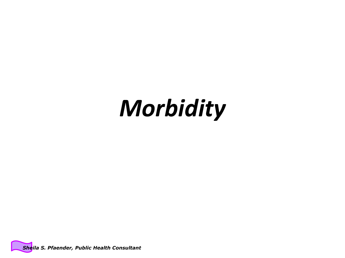# *Morbidity*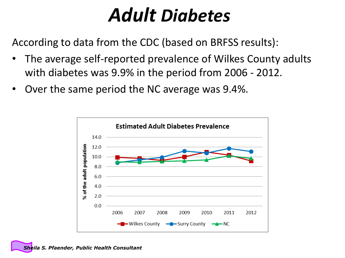## *Adult Diabetes*

According to data from the CDC (based on BRFSS results):

- The average self-reported prevalence of Wilkes County adults with diabetes was 9.9% in the period from 2006 - 2012.
- Over the same period the NC average was 9.4%.

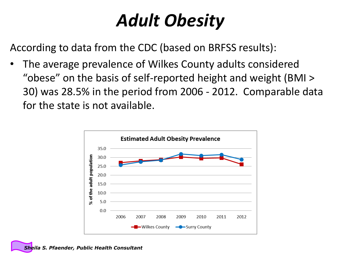### *Adult Obesity*

According to data from the CDC (based on BRFSS results):

The average prevalence of Wilkes County adults considered "obese" on the basis of self-reported height and weight (BMI > 30) was 28.5% in the period from 2006 - 2012. Comparable data for the state is not available.

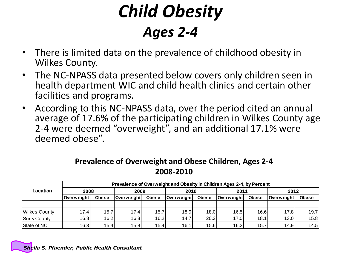#### *Child Obesity Ages 2-4*

- There is limited data on the prevalence of childhood obesity in Wilkes County.
- The NC-NPASS data presented below covers only children seen in health department WIC and child health clinics and certain other facilities and programs.
- According to this NC-NPASS data, over the period cited an annual average of 17.6% of the participating children in Wilkes County age 2-4 were deemed "overweight", and an additional 17.1% were deemed obese".

#### **Prevalence of Overweight and Obese Children, Ages 2-4 2008-2010**

|                      | Prevalence of Overweight and Obesity in Children Ages 2-4, by Percent |       |                   |              |                   |              |                   |              |            |              |
|----------------------|-----------------------------------------------------------------------|-------|-------------------|--------------|-------------------|--------------|-------------------|--------------|------------|--------------|
| Location             | 2008                                                                  |       | 2009              |              | 2010              |              | 2011              |              | 2012       |              |
|                      | Overweight                                                            | Obese | <b>Overweight</b> | <b>Obese</b> | <b>Overweight</b> | <b>Obese</b> | <b>Overweight</b> | <b>Obese</b> | Overweiaht | <b>Obese</b> |
|                      |                                                                       |       |                   |              |                   |              |                   |              |            |              |
| <b>Wilkes County</b> | 17.4                                                                  | 15.7  | 17.4              | 15.7         | 18.9              | 18.0         | 16.5              | 16.6         | 17.8       | 19.7         |
| Surry County         | 16.8                                                                  | 16.2  | 16.8              | 16.2         | 14.7              | 20.3         | 17.0              | 18.1         | 13.0       | 15.8         |
| State of NC          | 16.3                                                                  | 15.4  | 15.8              | 15.4         | 16.1              | 15.6         | 16.2              | 15.7         | 14.9       | 14.5         |

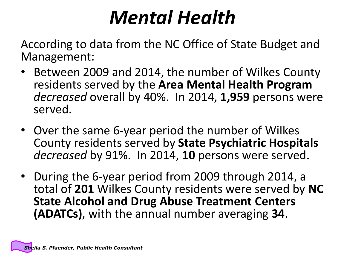# *Mental Health*

According to data from the NC Office of State Budget and Management:

- Between 2009 and 2014, the number of Wilkes County residents served by the **Area Mental Health Program**  *decreased* overall by 40%. In 2014, **1,959** persons were served.
- Over the same 6-year period the number of Wilkes County residents served by **State Psychiatric Hospitals**  *decreased* by 91%. In 2014, **10** persons were served.
- During the 6-year period from 2009 through 2014, a total of **201** Wilkes County residents were served by **NC State Alcohol and Drug Abuse Treatment Centers (ADATCs)**, with the annual number averaging **34**.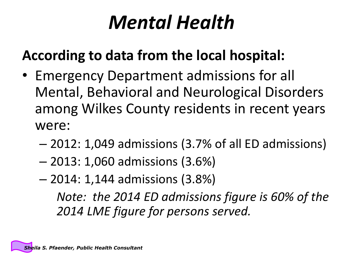# *Mental Health*

#### **According to data from the local hospital:**

- Emergency Department admissions for all Mental, Behavioral and Neurological Disorders among Wilkes County residents in recent years were:
	- 2012: 1,049 admissions (3.7% of all ED admissions)
	- 2013: 1,060 admissions (3.6%)
	- 2014: 1,144 admissions (3.8%)

*Note: the 2014 ED admissions figure is 60% of the 2014 LME figure for persons served.*

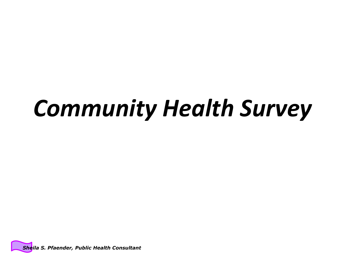# *Community Health Survey*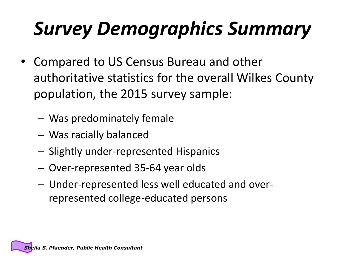# *Survey Demographics Summary*

- Compared to US Census Bureau and other authoritative statistics for the overall Wilkes County population, the 2015 survey sample:
	- Was predominately female
	- Was racially balanced
	- Slightly under-represented Hispanics
	- Over-represented 35-64 year olds
	- Under-represented less well educated and overrepresented college-educated persons

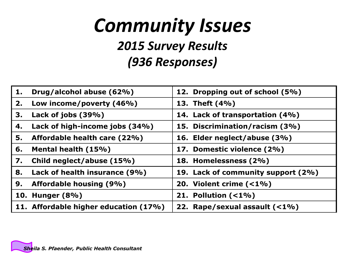# *Community Issues*

#### *2015 Survey Results (936 Responses)*

| 1. | Drug/alcohol abuse (62%)              | 12. Dropping out of school (5%)    |
|----|---------------------------------------|------------------------------------|
| 2. | Low income/poverty (46%)              | 13. Theft (4%)                     |
| З. | Lack of jobs (39%)                    | 14. Lack of transportation (4%)    |
| 4. | Lack of high-income jobs (34%)        | 15. Discrimination/racism (3%)     |
| 5. | Affordable health care (22%)          | 16. Elder neglect/abuse (3%)       |
| 6. | Mental health (15%)                   | 17. Domestic violence (2%)         |
| 7. | Child neglect/abuse (15%)             | 18. Homelessness (2%)              |
| 8. | Lack of health insurance (9%)         | 19. Lack of community support (2%) |
| 9. | <b>Affordable housing (9%)</b>        | 20. Violent crime $($ < 1%)        |
|    | 10. Hunger (8%)                       | 21. Pollution $( <1\%)$            |
|    | 11. Affordable higher education (17%) | 22. Rape/sexual assault (<1%)      |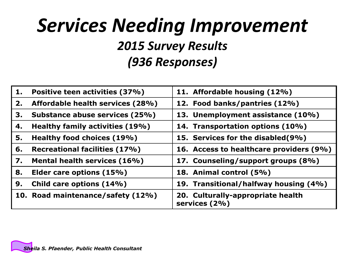#### *Services Needing Improvement 2015 Survey Results (936 Responses)*

| 1. | Positive teen activities (37%)       | 11. Affordable housing (12%)                       |
|----|--------------------------------------|----------------------------------------------------|
| 2. | Affordable health services (28%)     | 12. Food banks/pantries (12%)                      |
| 3. | Substance abuse services (25%)       | 13. Unemployment assistance (10%)                  |
| 4. | Healthy family activities (19%)      | 14. Transportation options (10%)                   |
| 5. | Healthy food choices (19%)           | 15. Services for the disabled(9%)                  |
| 6. | <b>Recreational facilities (17%)</b> | 16. Access to healthcare providers (9%)            |
| 7. | Mental health services (16%)         | 17. Counseling/support groups (8%)                 |
| 8. | Elder care options (15%)             | 18. Animal control (5%)                            |
| 9. | Child care options (14%)             | 19. Transitional/halfway housing (4%)              |
|    | 10. Road maintenance/safety (12%)    | 20. Culturally-appropriate health<br>services (2%) |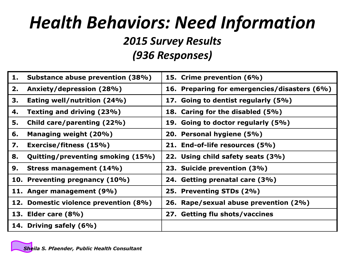### *Health Behaviors: Need Information*

*2015 Survey Results*

*(936 Responses)*

| 1. | Substance abuse prevention (38%)      | 15. Crime prevention (6%)                    |
|----|---------------------------------------|----------------------------------------------|
| 2. | Anxiety/depression (28%)              | 16. Preparing for emergencies/disasters (6%) |
| 3. | Eating well/nutrition (24%)           | 17. Going to dentist regularly (5%)          |
| 4. | Texting and driving (23%)             | 18. Caring for the disabled (5%)             |
| 5. | Child care/parenting (22%)            | 19. Going to doctor regularly (5%)           |
| 6. | Managing weight (20%)                 | 20. Personal hygiene (5%)                    |
| 7. | Exercise/fitness (15%)                | 21. End-of-life resources (5%)               |
| 8. | Quitting/preventing smoking (15%)     | 22. Using child safety seats (3%)            |
| 9. | Stress management (14%)               | 23. Suicide prevention (3%)                  |
|    | 10. Preventing pregnancy (10%)        | 24. Getting prenatal care (3%)               |
|    | 11. Anger management (9%)             | 25. Preventing STDs (2%)                     |
|    | 12. Domestic violence prevention (8%) | 26. Rape/sexual abuse prevention (2%)        |
|    | 13. Elder care (8%)                   | 27. Getting flu shots/vaccines               |
|    | 14. Driving safely (6%)               |                                              |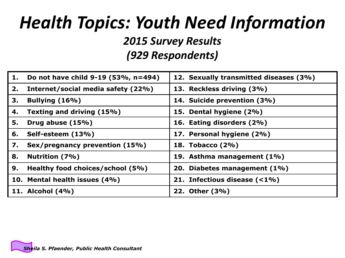## *Health Topics: Youth Need Information*

*2015 Survey Results*

*(929 Respondents)*

| 1. | Do not have child 9-19 (53%, n=494) | 12. Sexually transmitted diseases (3%) |
|----|-------------------------------------|----------------------------------------|
| 2. | Internet/social media safety (22%)  | 13. Reckless driving (3%)              |
| 3. | Bullying (16%)                      | 14. Suicide prevention (3%)            |
| 4. | Texting and driving (15%)           | 15. Dental hygiene (2%)                |
| 5. | Drug abuse (15%)                    | 16. Eating disorders (2%)              |
| 6. | Self-esteem (13%)                   | 17. Personal hygiene (2%)              |
| 7. | Sex/pregnancy prevention (15%)      | 18. Tobacco (2%)                       |
| 8. | Nutrition (7%)                      | 19. Asthma management (1%)             |
| 9. | Healthy food choices/school (5%)    | 20. Diabetes management (1%)           |
|    | 10. Mental health issues (4%)       | 21. Infectious disease $($ < 1%)       |
|    | 11. Alcohol (4%)                    | 22. Other (3%)                         |

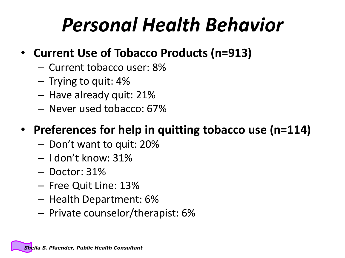# *Personal Health Behavior*

- **Current Use of Tobacco Products (n=913)**
	- Current tobacco user: 8%
	- Trying to quit: 4%
	- Have already quit: 21%
	- Never used tobacco: 67%

#### • **Preferences for help in quitting tobacco use (n=114)**

- Don't want to quit: 20%
- I don't know: 31%
- Doctor: 31%
- Free Quit Line: 13%
- Health Department: 6%
- Private counselor/therapist: 6%

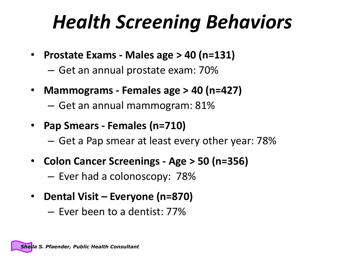# *Health Screening Behaviors*

- **Prostate Exams - Males age > 40 (n=131)**
	- Get an annual prostate exam: 70%
- **Mammograms - Females age > 40 (n=427)**
	- Get an annual mammogram: 81%
- **Pap Smears - Females (n=710)**
	- Get a Pap smear at least every other year: 78%
- **Colon Cancer Screenings - Age > 50 (n=356)**
	- Ever had a colonoscopy: 78%
- **Dental Visit – Everyone (n=870)**
	- Ever been to a dentist: 77%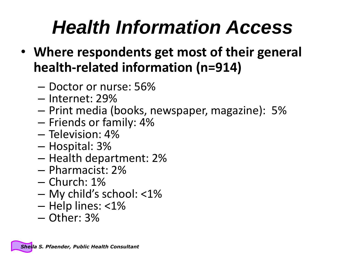# *Health Information Access*

- **Where respondents get most of their general health-related information (n=914)**
	- Doctor or nurse: 56%
	- Internet: 29%
	- Print media (books, newspaper, magazine): 5%
	- Friends or family: 4%
	- Television: 4%
	- Hospital: 3%
	- Health department: 2%
	- Pharmacist: 2%
	- Church: 1%
	- My child's school: <1%
	- Help lines: <1%
	- Other: 3%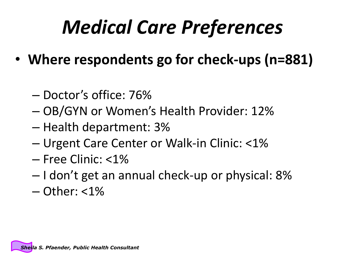# *Medical Care Preferences*

- **Where respondents go for check-ups (n=881)**
	- Doctor's office: 76%
	- OB/GYN or Women's Health Provider: 12%
	- Health department: 3%
	- Urgent Care Center or Walk-in Clinic: <1%
	- Free Clinic: <1%
	- I don't get an annual check-up or physical: 8%
	- $-$  Other:  $<$ 1%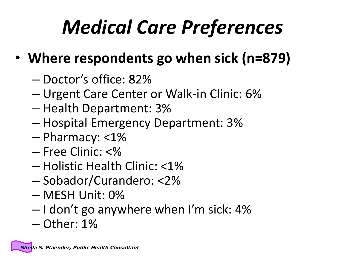# *Medical Care Preferences*

- **Where respondents go when sick (n=879)**
	- Doctor's office: 82%
	- Urgent Care Center or Walk-in Clinic: 6%
	- Health Department: 3%
	- Hospital Emergency Department: 3%
	- Pharmacy: <1%
	- Free Clinic: <%
	- Holistic Health Clinic: <1%
	- Sobador/Curandero: <2%
	- MESH Unit: 0%
	- $-$  I don't go anywhere when I'm sick: 4%
	- Other: 1%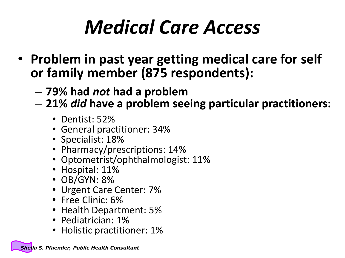# *Medical Care Access*

- **Problem in past year getting medical care for self or family member (875 respondents):**
	- **79% had** *not* **had a problem**
	- **21%** *did* **have a problem seeing particular practitioners:**
		- Dentist: 52%
		- General practitioner: 34%
		- Specialist: 18%
		- Pharmacy/prescriptions: 14%
		- Optometrist/ophthalmologist: 11%
		- Hospital: 11%
		- OB/GYN: 8%
		- Urgent Care Center: 7%
		- Free Clinic: 6%
		- Health Department: 5%
		- Pediatrician: 1%
		- Holistic practitioner: 1%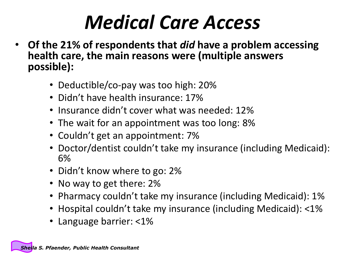# *Medical Care Access*

- **Of the 21% of respondents that** *did* **have a problem accessing health care, the main reasons were (multiple answers possible):**
	- Deductible/co-pay was too high: 20%
	- Didn't have health insurance: 17%
	- Insurance didn't cover what was needed: 12%
	- The wait for an appointment was too long: 8%
	- Couldn't get an appointment: 7%
	- Doctor/dentist couldn't take my insurance (including Medicaid): 6%
	- Didn't know where to go: 2%
	- No way to get there: 2%
	- Pharmacy couldn't take my insurance (including Medicaid): 1%
	- Hospital couldn't take my insurance (including Medicaid): <1%
	- Language barrier: <1%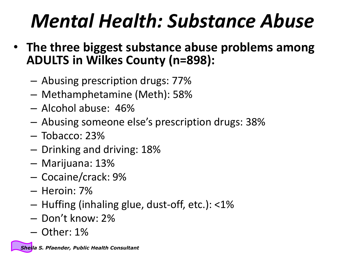# *Mental Health: Substance Abuse*

- **The three biggest substance abuse problems among ADULTS in Wilkes County (n=898):**
	- Abusing prescription drugs: 77%
	- Methamphetamine (Meth): 58%
	- Alcohol abuse: 46%
	- Abusing someone else's prescription drugs: 38%
	- Tobacco: 23%
	- Drinking and driving: 18%
	- Marijuana: 13%
	- Cocaine/crack: 9%
	- Heroin: 7%
	- Huffing (inhaling glue, dust-off, etc.): <1%
	- Don't know: 2%
	- Other: 1%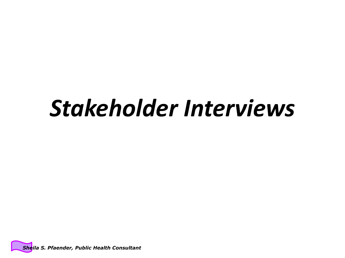# *Stakeholder Interviews*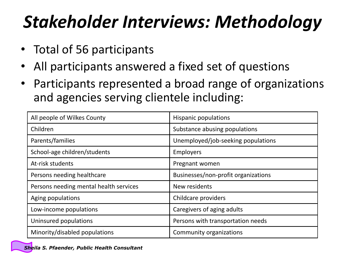## *Stakeholder Interviews: Methodology*

- Total of 56 participants
- All participants answered a fixed set of questions
- Participants represented a broad range of organizations and agencies serving clientele including:

| All people of Wilkes County            | Hispanic populations                |
|----------------------------------------|-------------------------------------|
| Children                               | Substance abusing populations       |
| Parents/families                       | Unemployed/job-seeking populations  |
| School-age children/students           | Employers                           |
| At-risk students                       | Pregnant women                      |
| Persons needing healthcare             | Businesses/non-profit organizations |
| Persons needing mental health services | New residents                       |
| Aging populations                      | Childcare providers                 |
| Low-income populations                 | Caregivers of aging adults          |
| Uninsured populations                  | Persons with transportation needs   |
| Minority/disabled populations          | Community organizations             |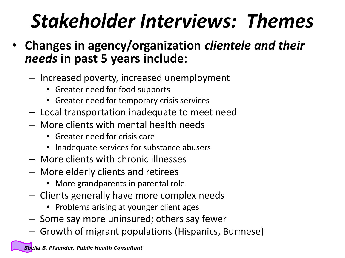# *Stakeholder Interviews: Themes*

- **Changes in agency/organization** *clientele and their needs* **in past 5 years include:**
	- Increased poverty, increased unemployment
		- Greater need for food supports
		- Greater need for temporary crisis services
	- Local transportation inadequate to meet need
	- More clients with mental health needs
		- Greater need for crisis care
		- Inadequate services for substance abusers
	- More clients with chronic illnesses
	- More elderly clients and retirees
		- More grandparents in parental role
	- Clients generally have more complex needs
		- Problems arising at younger client ages
	- Some say more uninsured; others say fewer
	- Growth of migrant populations (Hispanics, Burmese)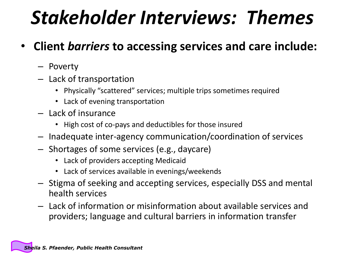# *Stakeholder Interviews: Themes*

- **Client** *barriers* **to accessing services and care include:**
	- Poverty
	- Lack of transportation
		- Physically "scattered" services; multiple trips sometimes required
		- Lack of evening transportation
	- Lack of insurance
		- High cost of co-pays and deductibles for those insured
	- Inadequate inter-agency communication/coordination of services
	- Shortages of some services (e.g., daycare)
		- Lack of providers accepting Medicaid
		- Lack of services available in evenings/weekends
	- Stigma of seeking and accepting services, especially DSS and mental health services
	- Lack of information or misinformation about available services and providers; language and cultural barriers in information transfer

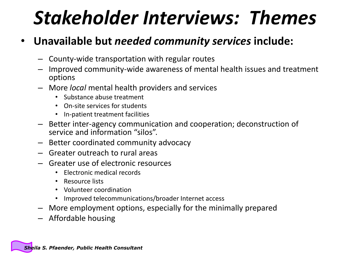# *Stakeholder Interviews: Themes*

#### • **Unavailable but** *needed community services* **include:**

- County-wide transportation with regular routes
- Improved community-wide awareness of mental health issues and treatment options
- More *local* mental health providers and services
	- Substance abuse treatment
	- On-site services for students
	- In-patient treatment facilities
- Better inter-agency communication and cooperation; deconstruction of service and information "silos".
- Better coordinated community advocacy
- Greater outreach to rural areas
- Greater use of electronic resources
	- Electronic medical records
	- Resource lists
	- Volunteer coordination
	- Improved telecommunications/broader Internet access
- More employment options, especially for the minimally prepared
- Affordable housing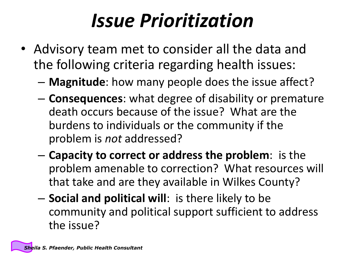# *Issue Prioritization*

- Advisory team met to consider all the data and the following criteria regarding health issues:
	- **Magnitude**: how many people does the issue affect?
	- **Consequences**: what degree of disability or premature death occurs because of the issue? What are the burdens to individuals or the community if the problem is *not* addressed?
	- **Capacity to correct or address the problem**: is the problem amenable to correction? What resources will that take and are they available in Wilkes County?
	- **Social and political will**: is there likely to be community and political support sufficient to address the issue?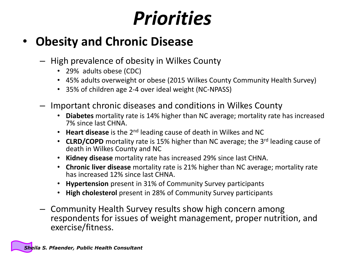#### • **Obesity and Chronic Disease**

- High prevalence of obesity in Wilkes County
	- 29% adults obese (CDC)
	- 45% adults overweight or obese (2015 Wilkes County Community Health Survey)
	- 35% of children age 2-4 over ideal weight (NC-NPASS)
- Important chronic diseases and conditions in Wilkes County
	- **Diabetes** mortality rate is 14% higher than NC average; mortality rate has increased 7% since last CHNA.
	- **Heart disease** is the 2nd leading cause of death in Wilkes and NC
	- **CLRD/COPD** mortality rate is 15% higher than NC average; the 3<sup>rd</sup> leading cause of death in Wilkes County and NC
	- **Kidney disease** mortality rate has increased 29% since last CHNA.
	- **Chronic liver disease** mortality rate is 21% higher than NC average; mortality rate has increased 12% since last CHNA.
	- **Hypertension** present in 31% of Community Survey participants
	- **High cholesterol** present in 28% of Community Survey participants
- Community Health Survey results show high concern among respondents for issues of weight management, proper nutrition, and exercise/fitness.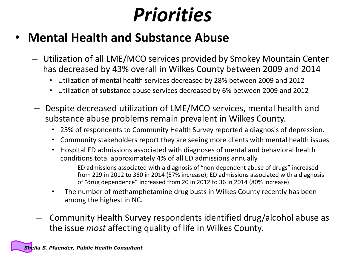- **Mental Health and Substance Abuse**
	- Utilization of all LME/MCO services provided by Smokey Mountain Center has decreased by 43% overall in Wilkes County between 2009 and 2014
		- Utilization of mental health services decreased by 28% between 2009 and 2012
		- Utilization of substance abuse services decreased by 6% between 2009 and 2012
	- Despite decreased utilization of LME/MCO services, mental health and substance abuse problems remain prevalent in Wilkes County.
		- 25% of respondents to Community Health Survey reported a diagnosis of depression.
		- Community stakeholders report they are seeing more clients with mental health issues
		- Hospital ED admissions associated with diagnoses of mental and behavioral health conditions total approximately 4% of all ED admissions annually.
			- ED admissions associated with a diagnosis of "non-dependent abuse of drugs" increased from 229 in 2012 to 360 in 2014 (57% increase); ED admissions associated with a diagnosis of "drug dependence" increased from 20 in 2012 to 36 in 2014 (80% increase)
		- The number of methamphetamine drug busts in Wilkes County recently has been among the highest in NC.
	- Community Health Survey respondents identified drug/alcohol abuse as the issue *most* affecting quality of life in Wilkes County.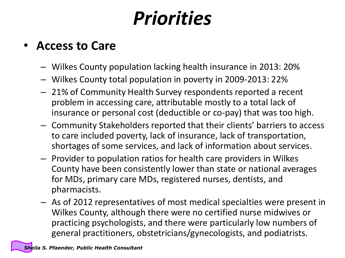#### • **Access to Care**

- Wilkes County population lacking health insurance in 2013: 20%
- Wilkes County total population in poverty in 2009-2013: 22%
- 21% of Community Health Survey respondents reported a recent problem in accessing care, attributable mostly to a total lack of insurance or personal cost (deductible or co-pay) that was too high.
- Community Stakeholders reported that their clients' barriers to access to care included poverty, lack of insurance, lack of transportation, shortages of some services, and lack of information about services.
- Provider to population ratios for health care providers in Wilkes County have been consistently lower than state or national averages for MDs, primary care MDs, registered nurses, dentists, and pharmacists.
- As of 2012 representatives of most medical specialties were present in Wilkes County, although there were no certified nurse midwives or practicing psychologists, and there were particularly low numbers of general practitioners, obstetricians/gynecologists, and podiatrists.